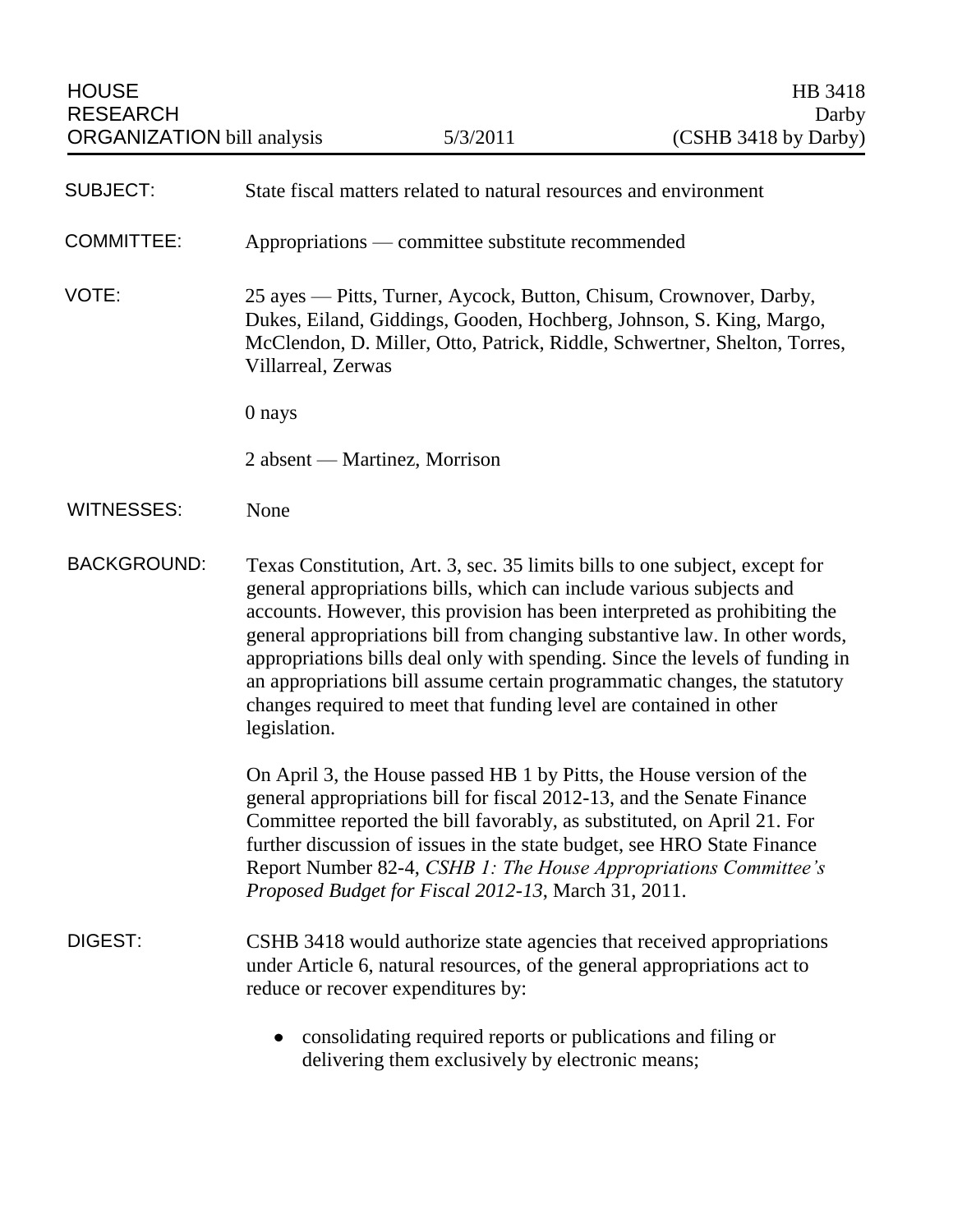| <b>SUBJECT:</b>    | State fiscal matters related to natural resources and environment                                                                                                                                                                                                                                                                                                                                                                                                                                                                                                 |
|--------------------|-------------------------------------------------------------------------------------------------------------------------------------------------------------------------------------------------------------------------------------------------------------------------------------------------------------------------------------------------------------------------------------------------------------------------------------------------------------------------------------------------------------------------------------------------------------------|
| <b>COMMITTEE:</b>  | Appropriations — committee substitute recommended                                                                                                                                                                                                                                                                                                                                                                                                                                                                                                                 |
| VOTE:              | 25 ayes - Pitts, Turner, Aycock, Button, Chisum, Crownover, Darby,<br>Dukes, Eiland, Giddings, Gooden, Hochberg, Johnson, S. King, Margo,<br>McClendon, D. Miller, Otto, Patrick, Riddle, Schwertner, Shelton, Torres,<br>Villarreal, Zerwas                                                                                                                                                                                                                                                                                                                      |
|                    | 0 nays                                                                                                                                                                                                                                                                                                                                                                                                                                                                                                                                                            |
|                    | 2 absent — Martinez, Morrison                                                                                                                                                                                                                                                                                                                                                                                                                                                                                                                                     |
| <b>WITNESSES:</b>  | None                                                                                                                                                                                                                                                                                                                                                                                                                                                                                                                                                              |
| <b>BACKGROUND:</b> | Texas Constitution, Art. 3, sec. 35 limits bills to one subject, except for<br>general appropriations bills, which can include various subjects and<br>accounts. However, this provision has been interpreted as prohibiting the<br>general appropriations bill from changing substantive law. In other words,<br>appropriations bills deal only with spending. Since the levels of funding in<br>an appropriations bill assume certain programmatic changes, the statutory<br>changes required to meet that funding level are contained in other<br>legislation. |
|                    | On April 3, the House passed HB 1 by Pitts, the House version of the<br>general appropriations bill for fiscal 2012-13, and the Senate Finance<br>Committee reported the bill favorably, as substituted, on April 21. For<br>further discussion of issues in the state budget, see HRO State Finance<br>Report Number 82-4, CSHB 1: The House Appropriations Committee's<br>Proposed Budget for Fiscal 2012-13, March 31, 2011.                                                                                                                                   |
| DIGEST:            | CSHB 3418 would authorize state agencies that received appropriations<br>under Article 6, natural resources, of the general appropriations act to<br>reduce or recover expenditures by:                                                                                                                                                                                                                                                                                                                                                                           |
|                    | consolidating required reports or publications and filing or<br>delivering them exclusively by electronic means;                                                                                                                                                                                                                                                                                                                                                                                                                                                  |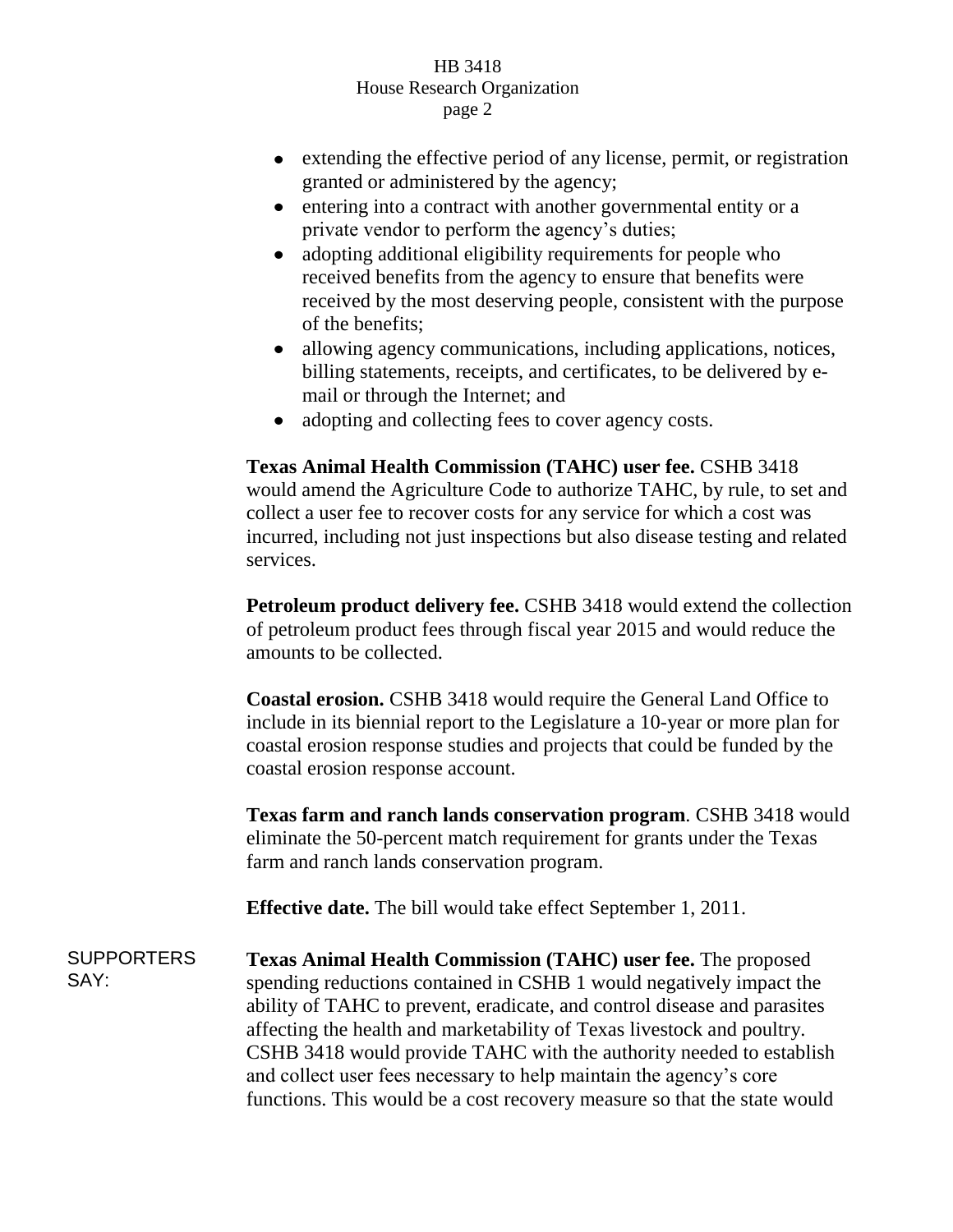- extending the effective period of any license, permit, or registration granted or administered by the agency;
- entering into a contract with another governmental entity or a  $\bullet$ private vendor to perform the agency's duties;
- adopting additional eligibility requirements for people who  $\bullet$ received benefits from the agency to ensure that benefits were received by the most deserving people, consistent with the purpose of the benefits;
- $\bullet$ allowing agency communications, including applications, notices, billing statements, receipts, and certificates, to be delivered by email or through the Internet; and
- adopting and collecting fees to cover agency costs.

**Texas Animal Health Commission (TAHC) user fee.** CSHB 3418 would amend the Agriculture Code to authorize TAHC, by rule, to set and collect a user fee to recover costs for any service for which a cost was incurred, including not just inspections but also disease testing and related services.

**Petroleum product delivery fee.** CSHB 3418 would extend the collection of petroleum product fees through fiscal year 2015 and would reduce the amounts to be collected.

**Coastal erosion.** CSHB 3418 would require the General Land Office to include in its biennial report to the Legislature a 10-year or more plan for coastal erosion response studies and projects that could be funded by the coastal erosion response account.

**Texas farm and ranch lands conservation program**. CSHB 3418 would eliminate the 50-percent match requirement for grants under the Texas farm and ranch lands conservation program.

**Effective date.** The bill would take effect September 1, 2011.

**SUPPORTERS** SAY: **Texas Animal Health Commission (TAHC) user fee.** The proposed spending reductions contained in CSHB 1 would negatively impact the ability of TAHC to prevent, eradicate, and control disease and parasites affecting the health and marketability of Texas livestock and poultry. CSHB 3418 would provide TAHC with the authority needed to establish and collect user fees necessary to help maintain the agency's core functions. This would be a cost recovery measure so that the state would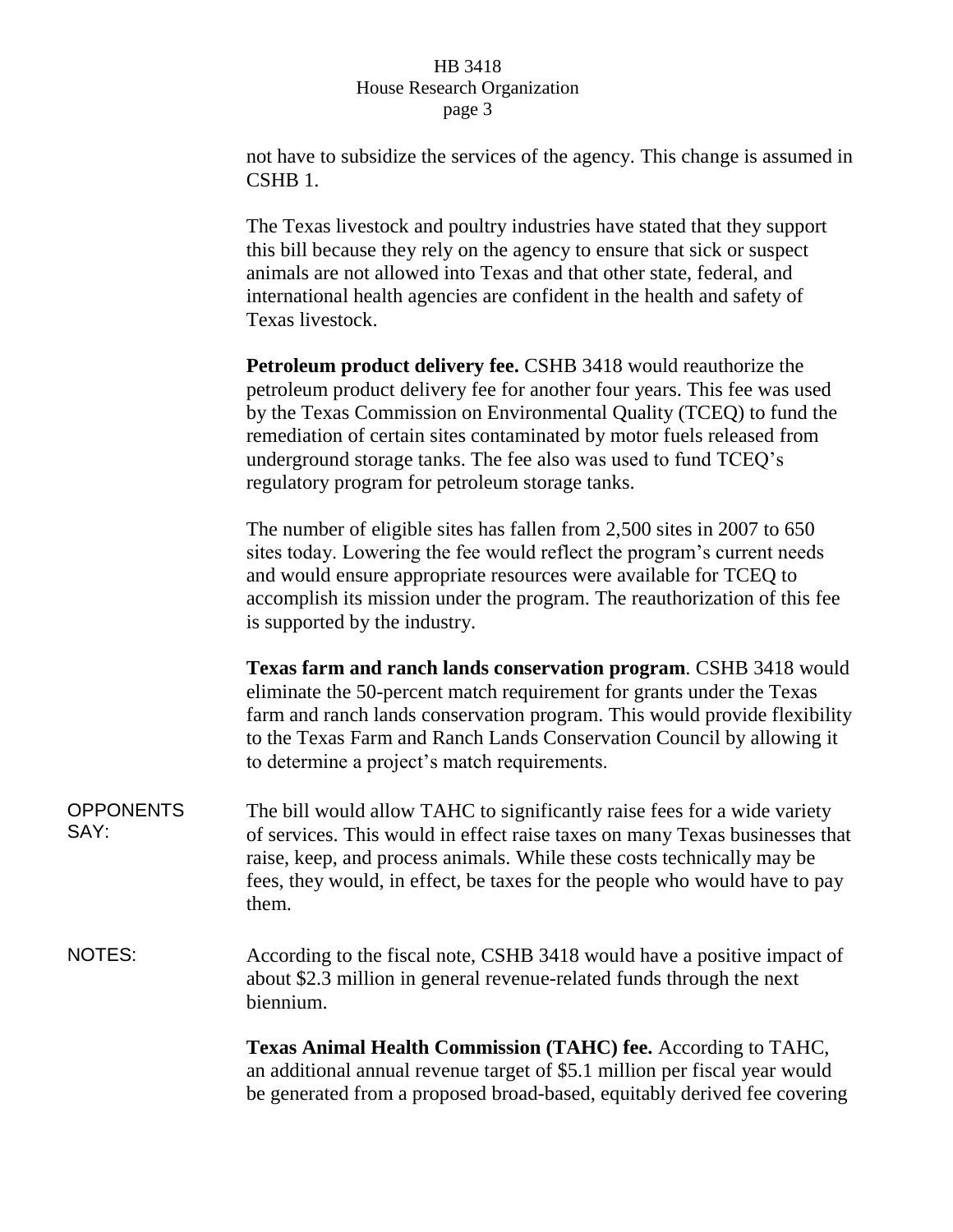not have to subsidize the services of the agency. This change is assumed in CSHB 1.

The Texas livestock and poultry industries have stated that they support this bill because they rely on the agency to ensure that sick or suspect animals are not allowed into Texas and that other state, federal, and international health agencies are confident in the health and safety of Texas livestock.

**Petroleum product delivery fee.** CSHB 3418 would reauthorize the petroleum product delivery fee for another four years. This fee was used by the Texas Commission on Environmental Quality (TCEQ) to fund the remediation of certain sites contaminated by motor fuels released from underground storage tanks. The fee also was used to fund TCEQ's regulatory program for petroleum storage tanks.

The number of eligible sites has fallen from 2,500 sites in 2007 to 650 sites today. Lowering the fee would reflect the program's current needs and would ensure appropriate resources were available for TCEQ to accomplish its mission under the program. The reauthorization of this fee is supported by the industry.

**Texas farm and ranch lands conservation program**. CSHB 3418 would eliminate the 50-percent match requirement for grants under the Texas farm and ranch lands conservation program. This would provide flexibility to the Texas Farm and Ranch Lands Conservation Council by allowing it to determine a project's match requirements.

- OPPONENTS SAY: The bill would allow TAHC to significantly raise fees for a wide variety of services. This would in effect raise taxes on many Texas businesses that raise, keep, and process animals. While these costs technically may be fees, they would, in effect, be taxes for the people who would have to pay them.
- NOTES: According to the fiscal note, CSHB 3418 would have a positive impact of about \$2.3 million in general revenue-related funds through the next biennium.

**Texas Animal Health Commission (TAHC) fee.** According to TAHC, an additional annual revenue target of \$5.1 million per fiscal year would be generated from a proposed broad-based, equitably derived fee covering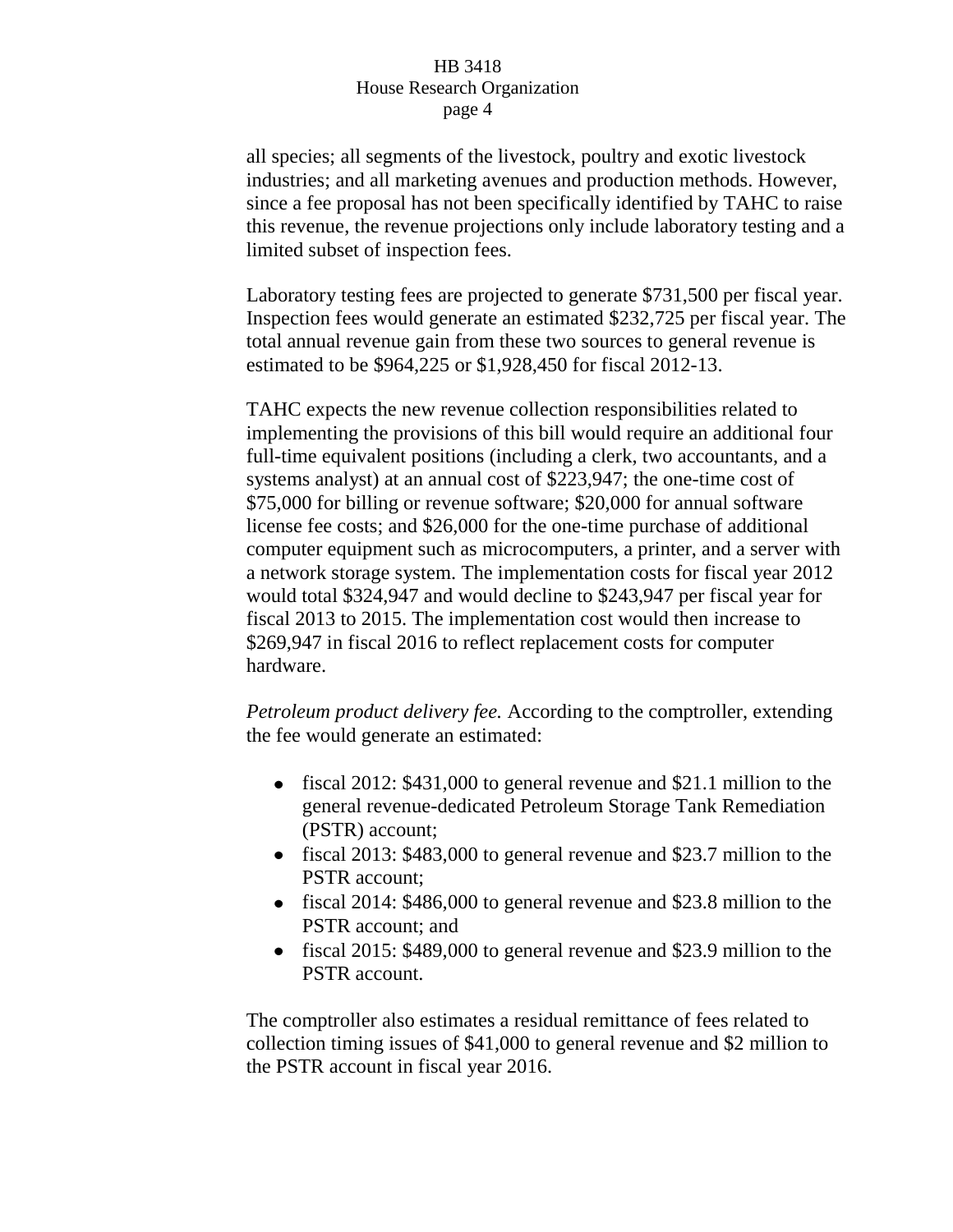all species; all segments of the livestock, poultry and exotic livestock industries; and all marketing avenues and production methods. However, since a fee proposal has not been specifically identified by TAHC to raise this revenue, the revenue projections only include laboratory testing and a limited subset of inspection fees.

Laboratory testing fees are projected to generate \$731,500 per fiscal year. Inspection fees would generate an estimated \$232,725 per fiscal year. The total annual revenue gain from these two sources to general revenue is estimated to be \$964,225 or \$1,928,450 for fiscal 2012-13.

TAHC expects the new revenue collection responsibilities related to implementing the provisions of this bill would require an additional four full-time equivalent positions (including a clerk, two accountants, and a systems analyst) at an annual cost of \$223,947; the one-time cost of \$75,000 for billing or revenue software; \$20,000 for annual software license fee costs; and \$26,000 for the one-time purchase of additional computer equipment such as microcomputers, a printer, and a server with a network storage system. The implementation costs for fiscal year 2012 would total \$324,947 and would decline to \$243,947 per fiscal year for fiscal 2013 to 2015. The implementation cost would then increase to \$269,947 in fiscal 2016 to reflect replacement costs for computer hardware.

*Petroleum product delivery fee.* According to the comptroller, extending the fee would generate an estimated:

- fiscal 2012: \$431,000 to general revenue and \$21.1 million to the general revenue-dedicated Petroleum Storage Tank Remediation (PSTR) account;
- fiscal 2013: \$483,000 to general revenue and \$23.7 million to the PSTR account;
- fiscal 2014: \$486,000 to general revenue and \$23.8 million to the PSTR account; and
- fiscal 2015: \$489,000 to general revenue and \$23.9 million to the PSTR account.

The comptroller also estimates a residual remittance of fees related to collection timing issues of \$41,000 to general revenue and \$2 million to the PSTR account in fiscal year 2016.